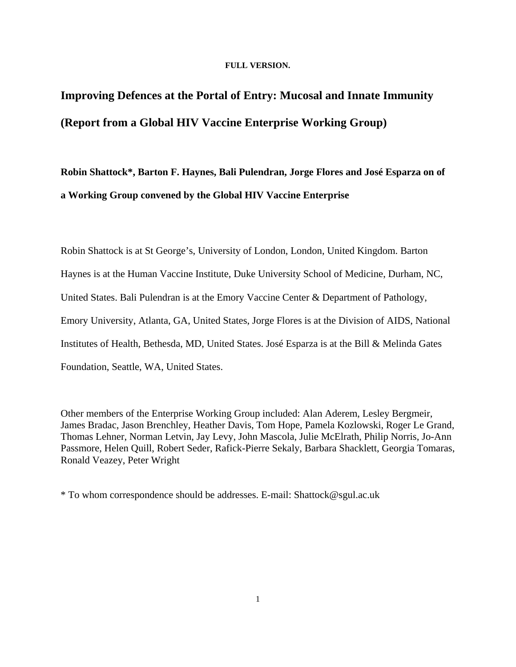## **FULL VERSION.**

# **Improving Defences at the Portal of Entry: Mucosal and Innate Immunity (Report from a Global HIV Vaccine Enterprise Working Group)**

**Robin Shattock\*, Barton F. Haynes, Bali Pulendran, Jorge Flores and José Esparza on of a Working Group convened by the Global HIV Vaccine Enterprise** 

Robin Shattock is at St George's, University of London, London, United Kingdom. Barton Haynes is at the Human Vaccine Institute, Duke University School of Medicine, Durham, NC, United States. Bali Pulendran is at the Emory Vaccine Center & Department of Pathology, Emory University, Atlanta, GA, United States, Jorge Flores is at the Division of AIDS, National Institutes of Health, Bethesda, MD, United States. José Esparza is at the Bill & Melinda Gates Foundation, Seattle, WA, United States.

Other members of the Enterprise Working Group included: Alan Aderem, Lesley Bergmeir, James Bradac, Jason Brenchley, Heather Davis, Tom Hope, Pamela Kozlowski, Roger Le Grand, Thomas Lehner, Norman Letvin, Jay Levy, John Mascola, Julie McElrath, Philip Norris, Jo-Ann Passmore, Helen Quill, Robert Seder, Rafick-Pierre Sekaly, Barbara Shacklett, Georgia Tomaras, Ronald Veazey, Peter Wright

\* To whom correspondence should be addresses. E-mail: Shattock@sgul.ac.uk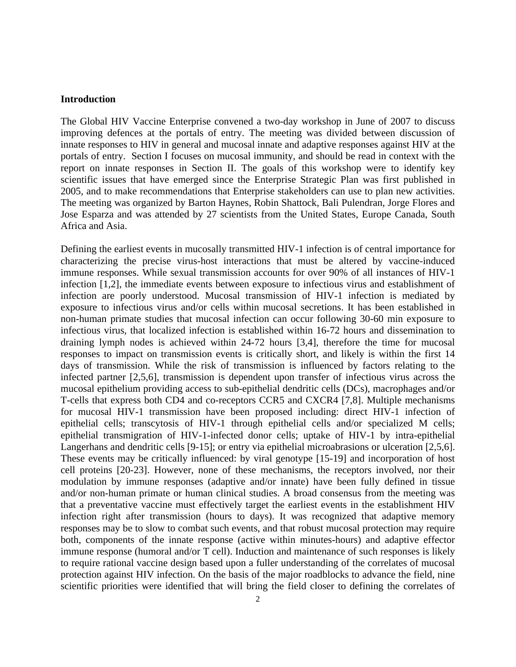#### **Introduction**

The Global HIV Vaccine Enterprise convened a two-day workshop in June of 2007 to discuss improving defences at the portals of entry. The meeting was divided between discussion of innate responses to HIV in general and mucosal innate and adaptive responses against HIV at the portals of entry. Section I focuses on mucosal immunity, and should be read in context with the report on innate responses in Section II. The goals of this workshop were to identify key scientific issues that have emerged since the Enterprise Strategic Plan was first published in 2005, and to make recommendations that Enterprise stakeholders can use to plan new activities. The meeting was organized by Barton Haynes, Robin Shattock, Bali Pulendran, Jorge Flores and Jose Esparza and was attended by 27 scientists from the United States, Europe Canada, South Africa and Asia.

Defining the earliest events in mucosally transmitted HIV-1 infection is of central importance for characterizing the precise virus-host interactions that must be altered by vaccine-induced immune responses. While sexual transmission accounts for over 90% of all instances of HIV-1 infection [1,2], the immediate events between exposure to infectious virus and establishment of infection are poorly understood. Mucosal transmission of HIV-1 infection is mediated by exposure to infectious virus and/or cells within mucosal secretions. It has been established in non-human primate studies that mucosal infection can occur following 30-60 min exposure to infectious virus, that localized infection is established within 16-72 hours and dissemination to draining lymph nodes is achieved within 24-72 hours [3,4], therefore the time for mucosal responses to impact on transmission events is critically short, and likely is within the first 14 days of transmission. While the risk of transmission is influenced by factors relating to the infected partner [2,5,6], transmission is dependent upon transfer of infectious virus across the mucosal epithelium providing access to sub-epithelial dendritic cells (DCs), macrophages and/or T-cells that express both CD4 and co-receptors CCR5 and CXCR4 [7,8]. Multiple mechanisms for mucosal HIV-1 transmission have been proposed including: direct HIV-1 infection of epithelial cells; transcytosis of HIV-1 through epithelial cells and/or specialized M cells; epithelial transmigration of HIV-1-infected donor cells; uptake of HIV-1 by intra-epithelial Langerhans and dendritic cells [9-15]; or entry via epithelial microabrasions or ulceration [2,5,6]. These events may be critically influenced: by viral genotype [15-19] and incorporation of host cell proteins [20-23]. However, none of these mechanisms, the receptors involved, nor their modulation by immune responses (adaptive and/or innate) have been fully defined in tissue and/or non-human primate or human clinical studies. A broad consensus from the meeting was that a preventative vaccine must effectively target the earliest events in the establishment HIV infection right after transmission (hours to days). It was recognized that adaptive memory responses may be to slow to combat such events, and that robust mucosal protection may require both, components of the innate response (active within minutes-hours) and adaptive effector immune response (humoral and/or T cell). Induction and maintenance of such responses is likely to require rational vaccine design based upon a fuller understanding of the correlates of mucosal protection against HIV infection. On the basis of the major roadblocks to advance the field, nine scientific priorities were identified that will bring the field closer to defining the correlates of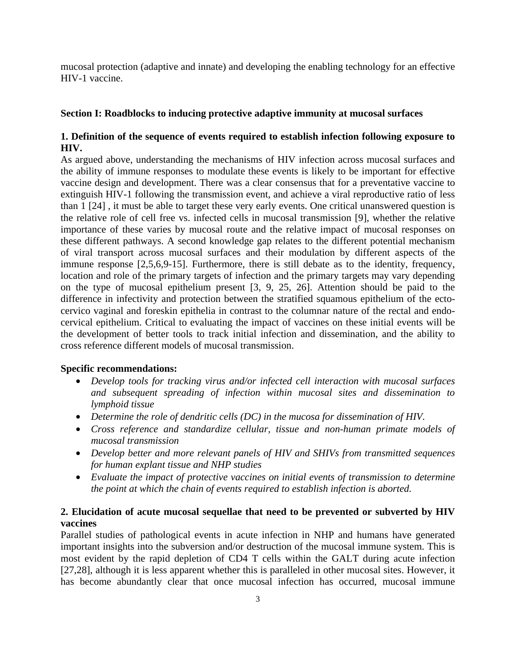mucosal protection (adaptive and innate) and developing the enabling technology for an effective HIV-1 vaccine.

## **Section I: Roadblocks to inducing protective adaptive immunity at mucosal surfaces**

# **1. Definition of the sequence of events required to establish infection following exposure to HIV.**

As argued above, understanding the mechanisms of HIV infection across mucosal surfaces and the ability of immune responses to modulate these events is likely to be important for effective vaccine design and development. There was a clear consensus that for a preventative vaccine to extinguish HIV-1 following the transmission event, and achieve a viral reproductive ratio of less than 1 [24] , it must be able to target these very early events. One critical unanswered question is the relative role of cell free vs. infected cells in mucosal transmission [9], whether the relative importance of these varies by mucosal route and the relative impact of mucosal responses on these different pathways. A second knowledge gap relates to the different potential mechanism of viral transport across mucosal surfaces and their modulation by different aspects of the immune response [2,5,6,9-15]. Furthermore, there is still debate as to the identity, frequency, location and role of the primary targets of infection and the primary targets may vary depending on the type of mucosal epithelium present [3, 9, 25, 26]. Attention should be paid to the difference in infectivity and protection between the stratified squamous epithelium of the ectocervico vaginal and foreskin epithelia in contrast to the columnar nature of the rectal and endocervical epithelium. Critical to evaluating the impact of vaccines on these initial events will be the development of better tools to track initial infection and dissemination, and the ability to cross reference different models of mucosal transmission.

# **Specific recommendations:**

- *Develop tools for tracking virus and/or infected cell interaction with mucosal surfaces and subsequent spreading of infection within mucosal sites and dissemination to lymphoid tissue*
- *Determine the role of dendritic cells (DC) in the mucosa for dissemination of HIV.*
- *Cross reference and standardize cellular, tissue and non-human primate models of mucosal transmission*
- *Develop better and more relevant panels of HIV and SHIVs from transmitted sequences for human explant tissue and NHP studies*
- *Evaluate the impact of protective vaccines on initial events of transmission to determine the point at which the chain of events required to establish infection is aborted.*

# **2. Elucidation of acute mucosal sequellae that need to be prevented or subverted by HIV vaccines**

Parallel studies of pathological events in acute infection in NHP and humans have generated important insights into the subversion and/or destruction of the mucosal immune system. This is most evident by the rapid depletion of CD4 T cells within the GALT during acute infection [27,28], although it is less apparent whether this is paralleled in other mucosal sites. However, it has become abundantly clear that once mucosal infection has occurred, mucosal immune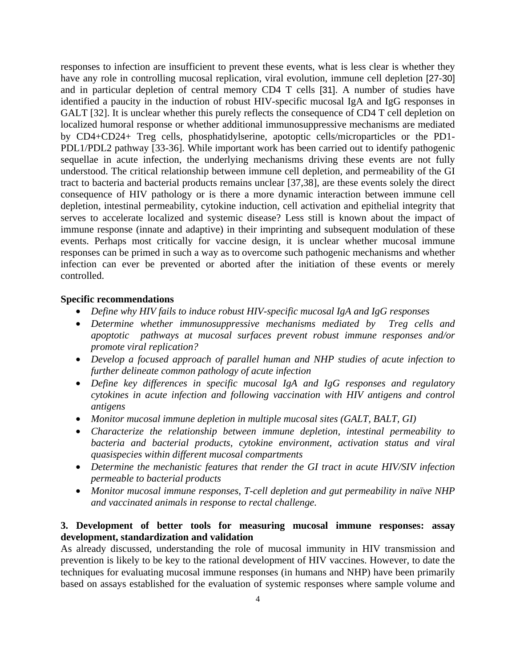responses to infection are insufficient to prevent these events, what is less clear is whether they have any role in controlling mucosal replication, viral evolution, immune cell depletion [27-30] and in particular depletion of central memory CD4 T cells [31]. A number of studies have identified a paucity in the induction of robust HIV-specific mucosal IgA and IgG responses in GALT [32]. It is unclear whether this purely reflects the consequence of CD4 T cell depletion on localized humoral response or whether additional immunosuppressive mechanisms are mediated by CD4+CD24+ Treg cells, phosphatidylserine, apotoptic cells/microparticles or the PD1- PDL1/PDL2 pathway [33-36]. While important work has been carried out to identify pathogenic sequellae in acute infection, the underlying mechanisms driving these events are not fully understood. The critical relationship between immune cell depletion, and permeability of the GI tract to bacteria and bacterial products remains unclear [37,38], are these events solely the direct consequence of HIV pathology or is there a more dynamic interaction between immune cell depletion, intestinal permeability, cytokine induction, cell activation and epithelial integrity that serves to accelerate localized and systemic disease? Less still is known about the impact of immune response (innate and adaptive) in their imprinting and subsequent modulation of these events. Perhaps most critically for vaccine design, it is unclear whether mucosal immune responses can be primed in such a way as to overcome such pathogenic mechanisms and whether infection can ever be prevented or aborted after the initiation of these events or merely controlled.

## **Specific recommendations**

- *Define why HIV fails to induce robust HIV-specific mucosal IgA and IgG responses*
- *Determine whether immunosuppressive mechanisms mediated by Treg cells and apoptotic pathways at mucosal surfaces prevent robust immune responses and/or promote viral replication?*
- *Develop a focused approach of parallel human and NHP studies of acute infection to further delineate common pathology of acute infection*
- *Define key differences in specific mucosal IgA and IgG responses and regulatory cytokines in acute infection and following vaccination with HIV antigens and control antigens*
- *Monitor mucosal immune depletion in multiple mucosal sites (GALT, BALT, GI)*
- *Characterize the relationship between immune depletion, intestinal permeability to bacteria and bacterial products, cytokine environment, activation status and viral quasispecies within different mucosal compartments*
- *Determine the mechanistic features that render the GI tract in acute HIV/SIV infection permeable to bacterial products*
- *Monitor mucosal immune responses, T-cell depletion and gut permeability in naïve NHP and vaccinated animals in response to rectal challenge.*

# **3. Development of better tools for measuring mucosal immune responses: assay development, standardization and validation**

As already discussed, understanding the role of mucosal immunity in HIV transmission and prevention is likely to be key to the rational development of HIV vaccines. However, to date the techniques for evaluating mucosal immune responses (in humans and NHP) have been primarily based on assays established for the evaluation of systemic responses where sample volume and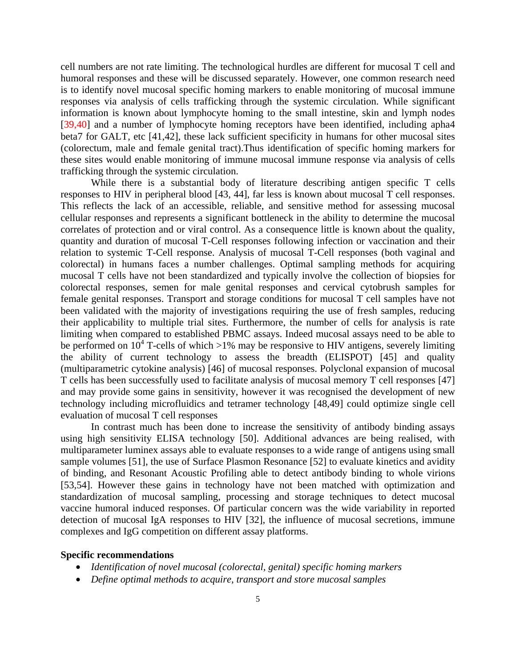cell numbers are not rate limiting. The technological hurdles are different for mucosal T cell and humoral responses and these will be discussed separately. However, one common research need is to identify novel mucosal specific homing markers to enable monitoring of mucosal immune responses via analysis of cells trafficking through the systemic circulation. While significant information is known about lymphocyte homing to the small intestine, skin and lymph nodes [39,40] and a number of lymphocyte homing receptors have been identified, including apha4 beta7 for GALT, etc [41,42], these lack sufficient specificity in humans for other mucosal sites (colorectum, male and female genital tract).Thus identification of specific homing markers for these sites would enable monitoring of immune mucosal immune response via analysis of cells trafficking through the systemic circulation.

While there is a substantial body of literature describing antigen specific T cells responses to HIV in peripheral blood [43, 44], far less is known about mucosal T cell responses. This reflects the lack of an accessible, reliable, and sensitive method for assessing mucosal cellular responses and represents a significant bottleneck in the ability to determine the mucosal correlates of protection and or viral control. As a consequence little is known about the quality, quantity and duration of mucosal T-Cell responses following infection or vaccination and their relation to systemic T-Cell response. Analysis of mucosal T-Cell responses (both vaginal and colorectal) in humans faces a number challenges. Optimal sampling methods for acquiring mucosal T cells have not been standardized and typically involve the collection of biopsies for colorectal responses, semen for male genital responses and cervical cytobrush samples for female genital responses. Transport and storage conditions for mucosal T cell samples have not been validated with the majority of investigations requiring the use of fresh samples, reducing their applicability to multiple trial sites. Furthermore, the number of cells for analysis is rate limiting when compared to established PBMC assays. Indeed mucosal assays need to be able to be performed on  $10^4$  T-cells of which >1% may be responsive to HIV antigens, severely limiting the ability of current technology to assess the breadth (ELISPOT) [45] and quality (multiparametric cytokine analysis) [46] of mucosal responses. Polyclonal expansion of mucosal T cells has been successfully used to facilitate analysis of mucosal memory T cell responses [47] and may provide some gains in sensitivity, however it was recognised the development of new technology including microfluidics and tetramer technology [48,49] could optimize single cell evaluation of mucosal T cell responses

In contrast much has been done to increase the sensitivity of antibody binding assays using high sensitivity ELISA technology [50]. Additional advances are being realised, with multiparameter luminex assays able to evaluate responses to a wide range of antigens using small sample volumes [51], the use of Surface Plasmon Resonance [52] to evaluate kinetics and avidity of binding, and Resonant Acoustic Profiling able to detect antibody binding to whole virions [53,54]. However these gains in technology have not been matched with optimization and standardization of mucosal sampling, processing and storage techniques to detect mucosal vaccine humoral induced responses. Of particular concern was the wide variability in reported detection of mucosal IgA responses to HIV [32], the influence of mucosal secretions, immune complexes and IgG competition on different assay platforms.

#### **Specific recommendations**

- *Identification of novel mucosal (colorectal, genital) specific homing markers*
- *Define optimal methods to acquire, transport and store mucosal samples*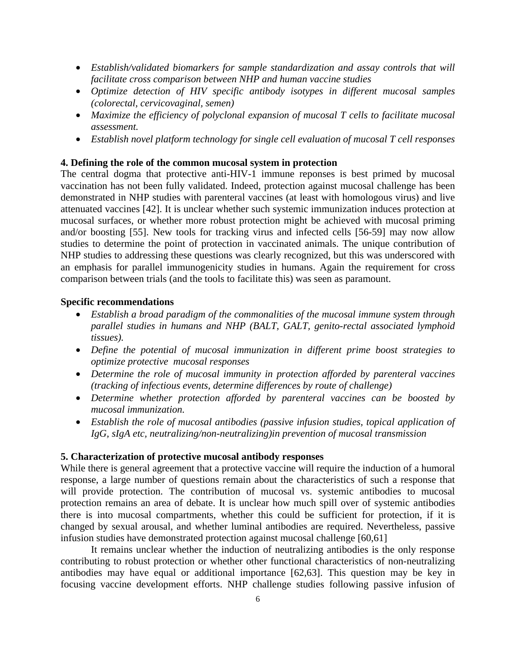- *Establish/validated biomarkers for sample standardization and assay controls that will facilitate cross comparison between NHP and human vaccine studies*
- *Optimize detection of HIV specific antibody isotypes in different mucosal samples (colorectal, cervicovaginal, semen)*
- *Maximize the efficiency of polyclonal expansion of mucosal T cells to facilitate mucosal assessment.*
- *Establish novel platform technology for single cell evaluation of mucosal T cell responses*

## **4. Defining the role of the common mucosal system in protection**

The central dogma that protective anti-HIV-1 immune reponses is best primed by mucosal vaccination has not been fully validated. Indeed, protection against mucosal challenge has been demonstrated in NHP studies with parenteral vaccines (at least with homologous virus) and live attenuated vaccines [42]. It is unclear whether such systemic immunization induces protection at mucosal surfaces, or whether more robust protection might be achieved with mucosal priming and/or boosting [55]. New tools for tracking virus and infected cells [56-59] may now allow studies to determine the point of protection in vaccinated animals. The unique contribution of NHP studies to addressing these questions was clearly recognized, but this was underscored with an emphasis for parallel immunogenicity studies in humans. Again the requirement for cross comparison between trials (and the tools to facilitate this) was seen as paramount.

#### **Specific recommendations**

- *Establish a broad paradigm of the commonalities of the mucosal immune system through parallel studies in humans and NHP (BALT, GALT, genito-rectal associated lymphoid tissues).*
- *Define the potential of mucosal immunization in different prime boost strategies to optimize protective mucosal responses*
- *Determine the role of mucosal immunity in protection afforded by parenteral vaccines (tracking of infectious events, determine differences by route of challenge)*
- *Determine whether protection afforded by parenteral vaccines can be boosted by mucosal immunization.*
- *Establish the role of mucosal antibodies (passive infusion studies, topical application of IgG, sIgA etc, neutralizing/non-neutralizing)in prevention of mucosal transmission*

#### **5. Characterization of protective mucosal antibody responses**

While there is general agreement that a protective vaccine will require the induction of a humoral response, a large number of questions remain about the characteristics of such a response that will provide protection. The contribution of mucosal vs. systemic antibodies to mucosal protection remains an area of debate. It is unclear how much spill over of systemic antibodies there is into mucosal compartments, whether this could be sufficient for protection, if it is changed by sexual arousal, and whether luminal antibodies are required. Nevertheless, passive infusion studies have demonstrated protection against mucosal challenge [60,61]

It remains unclear whether the induction of neutralizing antibodies is the only response contributing to robust protection or whether other functional characteristics of non-neutralizing antibodies may have equal or additional importance [62,63]. This question may be key in focusing vaccine development efforts. NHP challenge studies following passive infusion of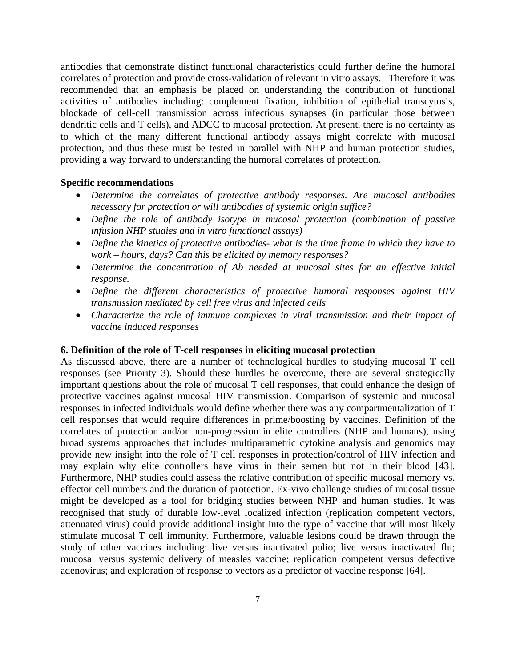antibodies that demonstrate distinct functional characteristics could further define the humoral correlates of protection and provide cross-validation of relevant in vitro assays. Therefore it was recommended that an emphasis be placed on understanding the contribution of functional activities of antibodies including: complement fixation, inhibition of epithelial transcytosis, blockade of cell-cell transmission across infectious synapses (in particular those between dendritic cells and T cells), and ADCC to mucosal protection. At present, there is no certainty as to which of the many different functional antibody assays might correlate with mucosal protection, and thus these must be tested in parallel with NHP and human protection studies, providing a way forward to understanding the humoral correlates of protection.

#### **Specific recommendations**

- *Determine the correlates of protective antibody responses. Are mucosal antibodies necessary for protection or will antibodies of systemic origin suffice?*
- *Define the role of antibody isotype in mucosal protection (combination of passive infusion NHP studies and in vitro functional assays)*
- *Define the kinetics of protective antibodies- what is the time frame in which they have to work – hours, days? Can this be elicited by memory responses?*
- *Determine the concentration of Ab needed at mucosal sites for an effective initial response.*
- *Define the different characteristics of protective humoral responses against HIV transmission mediated by cell free virus and infected cells*
- *Characterize the role of immune complexes in viral transmission and their impact of vaccine induced responses*

## **6. Definition of the role of T-cell responses in eliciting mucosal protection**

As discussed above, there are a number of technological hurdles to studying mucosal T cell responses (see Priority 3). Should these hurdles be overcome, there are several strategically important questions about the role of mucosal T cell responses, that could enhance the design of protective vaccines against mucosal HIV transmission. Comparison of systemic and mucosal responses in infected individuals would define whether there was any compartmentalization of T cell responses that would require differences in prime/boosting by vaccines. Definition of the correlates of protection and/or non-progression in elite controllers (NHP and humans), using broad systems approaches that includes multiparametric cytokine analysis and genomics may provide new insight into the role of T cell responses in protection/control of HIV infection and may explain why elite controllers have virus in their semen but not in their blood [43]. Furthermore, NHP studies could assess the relative contribution of specific mucosal memory vs. effector cell numbers and the duration of protection. Ex-vivo challenge studies of mucosal tissue might be developed as a tool for bridging studies between NHP and human studies. It was recognised that study of durable low-level localized infection (replication competent vectors, attenuated virus) could provide additional insight into the type of vaccine that will most likely stimulate mucosal T cell immunity. Furthermore, valuable lesions could be drawn through the study of other vaccines including: live versus inactivated polio; live versus inactivated flu; mucosal versus systemic delivery of measles vaccine; replication competent versus defective adenovirus; and exploration of response to vectors as a predictor of vaccine response [64].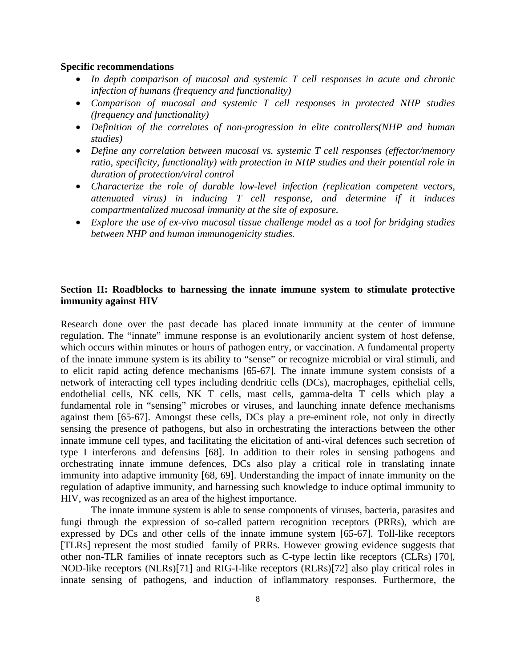#### **Specific recommendations**

- *In depth comparison of mucosal and systemic T cell responses in acute and chronic infection of humans (frequency and functionality)*
- *Comparison of mucosal and systemic T cell responses in protected NHP studies (frequency and functionality)*
- *Definition of the correlates of non-progression in elite controllers(NHP and human studies)*
- *Define any correlation between mucosal vs. systemic T cell responses (effector/memory ratio, specificity, functionality) with protection in NHP studies and their potential role in duration of protection/viral control*
- *Characterize the role of durable low-level infection (replication competent vectors, attenuated virus) in inducing T cell response, and determine if it induces compartmentalized mucosal immunity at the site of exposure.*
- *Explore the use of ex-vivo mucosal tissue challenge model as a tool for bridging studies between NHP and human immunogenicity studies.*

## **Section II: Roadblocks to harnessing the innate immune system to stimulate protective immunity against HIV**

Research done over the past decade has placed innate immunity at the center of immune regulation. The "innate" immune response is an evolutionarily ancient system of host defense, which occurs within minutes or hours of pathogen entry, or vaccination. A fundamental property of the innate immune system is its ability to "sense" or recognize microbial or viral stimuli, and to elicit rapid acting defence mechanisms [65-67]. The innate immune system consists of a network of interacting cell types including dendritic cells (DCs), macrophages, epithelial cells, endothelial cells, NK cells, NK T cells, mast cells, gamma-delta T cells which play a fundamental role in "sensing" microbes or viruses, and launching innate defence mechanisms against them [65-67]. Amongst these cells, DCs play a pre-eminent role, not only in directly sensing the presence of pathogens, but also in orchestrating the interactions between the other innate immune cell types, and facilitating the elicitation of anti-viral defences such secretion of type I interferons and defensins [68]. In addition to their roles in sensing pathogens and orchestrating innate immune defences, DCs also play a critical role in translating innate immunity into adaptive immunity [68, 69]. Understanding the impact of innate immunity on the regulation of adaptive immunity, and harnessing such knowledge to induce optimal immunity to HIV, was recognized as an area of the highest importance.

The innate immune system is able to sense components of viruses, bacteria, parasites and fungi through the expression of so-called pattern recognition receptors (PRRs), which are expressed by DCs and other cells of the innate immune system [65-67]. Toll-like receptors [TLRs] represent the most studied family of PRRs. However growing evidence suggests that other non-TLR families of innate receptors such as C-type lectin like receptors (CLRs) [70], NOD-like receptors (NLRs)[71] and RIG-I-like receptors (RLRs)[72] also play critical roles in innate sensing of pathogens, and induction of inflammatory responses. Furthermore, the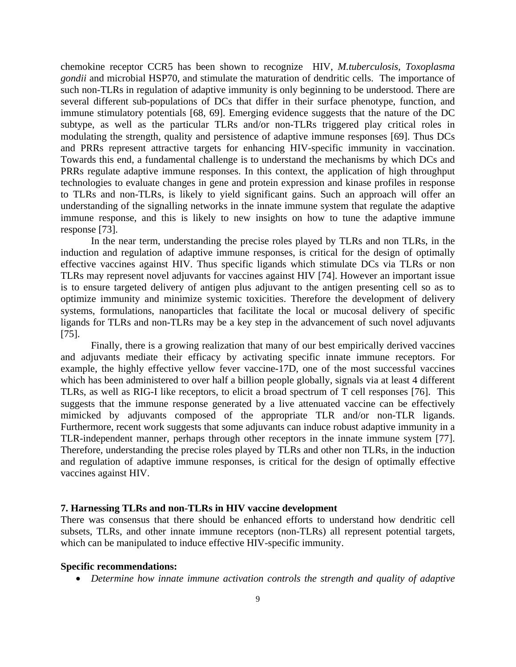chemokine receptor CCR5 has been shown to recognize HIV, *M.tuberculosis, Toxoplasma gondii* and microbial HSP70, and stimulate the maturation of dendritic cells. The importance of such non-TLRs in regulation of adaptive immunity is only beginning to be understood. There are several different sub-populations of DCs that differ in their surface phenotype, function, and immune stimulatory potentials [68, 69]. Emerging evidence suggests that the nature of the DC subtype, as well as the particular TLRs and/or non-TLRs triggered play critical roles in modulating the strength, quality and persistence of adaptive immune responses [69]. Thus DCs and PRRs represent attractive targets for enhancing HIV-specific immunity in vaccination. Towards this end, a fundamental challenge is to understand the mechanisms by which DCs and PRRs regulate adaptive immune responses. In this context, the application of high throughput technologies to evaluate changes in gene and protein expression and kinase profiles in response to TLRs and non-TLRs, is likely to yield significant gains. Such an approach will offer an understanding of the signalling networks in the innate immune system that regulate the adaptive immune response, and this is likely to new insights on how to tune the adaptive immune response [73].

 In the near term, understanding the precise roles played by TLRs and non TLRs, in the induction and regulation of adaptive immune responses, is critical for the design of optimally effective vaccines against HIV. Thus specific ligands which stimulate DCs via TLRs or non TLRs may represent novel adjuvants for vaccines against HIV [74]. However an important issue is to ensure targeted delivery of antigen plus adjuvant to the antigen presenting cell so as to optimize immunity and minimize systemic toxicities. Therefore the development of delivery systems, formulations, nanoparticles that facilitate the local or mucosal delivery of specific ligands for TLRs and non-TLRs may be a key step in the advancement of such novel adjuvants [75].

Finally, there is a growing realization that many of our best empirically derived vaccines and adjuvants mediate their efficacy by activating specific innate immune receptors. For example, the highly effective yellow fever vaccine-17D, one of the most successful vaccines which has been administered to over half a billion people globally, signals via at least 4 different TLRs, as well as RIG-I like receptors, to elicit a broad spectrum of T cell responses [76]. This suggests that the immune response generated by a live attenuated vaccine can be effectively mimicked by adjuvants composed of the appropriate TLR and/or non-TLR ligands. Furthermore, recent work suggests that some adjuvants can induce robust adaptive immunity in a TLR-independent manner, perhaps through other receptors in the innate immune system [77]. Therefore, understanding the precise roles played by TLRs and other non TLRs, in the induction and regulation of adaptive immune responses, is critical for the design of optimally effective vaccines against HIV.

#### **7. Harnessing TLRs and non-TLRs in HIV vaccine development**

There was consensus that there should be enhanced efforts to understand how dendritic cell subsets, TLRs, and other innate immune receptors (non-TLRs) all represent potential targets, which can be manipulated to induce effective HIV-specific immunity.

#### **Specific recommendations:**

• *Determine how innate immune activation controls the strength and quality of adaptive*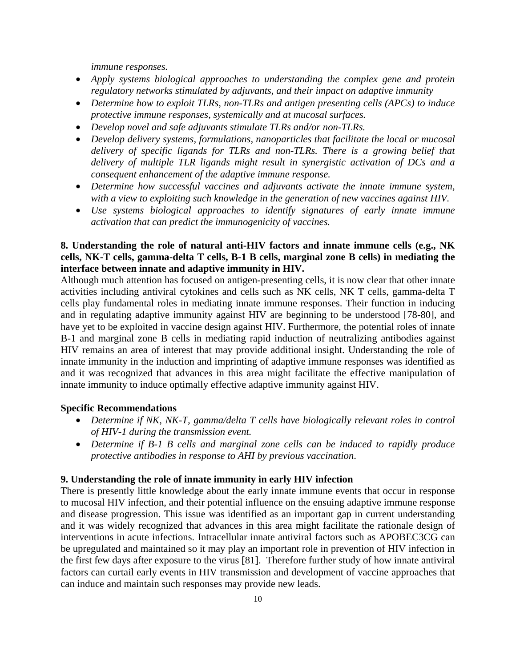*immune responses.* 

- *Apply systems biological approaches to understanding the complex gene and protein regulatory networks stimulated by adjuvants, and their impact on adaptive immunity*
- *Determine how to exploit TLRs, non-TLRs and antigen presenting cells (APCs) to induce protective immune responses, systemically and at mucosal surfaces.*
- *Develop novel and safe adjuvants stimulate TLRs and/or non-TLRs.*
- *Develop delivery systems, formulations, nanoparticles that facilitate the local or mucosal delivery of specific ligands for TLRs and non-TLRs. There is a growing belief that delivery of multiple TLR ligands might result in synergistic activation of DCs and a consequent enhancement of the adaptive immune response.*
- *Determine how successful vaccines and adjuvants activate the innate immune system, with a view to exploiting such knowledge in the generation of new vaccines against HIV.*
- *Use systems biological approaches to identify signatures of early innate immune activation that can predict the immunogenicity of vaccines.*

# **8. Understanding the role of natural anti-HIV factors and innate immune cells (e.g., NK cells, NK-T cells, gamma-delta T cells, B-1 B cells, marginal zone B cells) in mediating the interface between innate and adaptive immunity in HIV.**

Although much attention has focused on antigen-presenting cells, it is now clear that other innate activities including antiviral cytokines and cells such as NK cells, NK T cells, gamma-delta T cells play fundamental roles in mediating innate immune responses. Their function in inducing and in regulating adaptive immunity against HIV are beginning to be understood [78-80], and have yet to be exploited in vaccine design against HIV. Furthermore, the potential roles of innate B-1 and marginal zone B cells in mediating rapid induction of neutralizing antibodies against HIV remains an area of interest that may provide additional insight. Understanding the role of innate immunity in the induction and imprinting of adaptive immune responses was identified as and it was recognized that advances in this area might facilitate the effective manipulation of innate immunity to induce optimally effective adaptive immunity against HIV.

## **Specific Recommendations**

- *Determine if NK, NK-T, gamma/delta T cells have biologically relevant roles in control of HIV-1 during the transmission event.*
- *Determine if B-1 B cells and marginal zone cells can be induced to rapidly produce protective antibodies in response to AHI by previous vaccination*.

#### **9. Understanding the role of innate immunity in early HIV infection**

There is presently little knowledge about the early innate immune events that occur in response to mucosal HIV infection, and their potential influence on the ensuing adaptive immune response and disease progression. This issue was identified as an important gap in current understanding and it was widely recognized that advances in this area might facilitate the rationale design of interventions in acute infections. Intracellular innate antiviral factors such as APOBEC3CG can be upregulated and maintained so it may play an important role in prevention of HIV infection in the first few days after exposure to the virus [81]. Therefore further study of how innate antiviral factors can curtail early events in HIV transmission and development of vaccine approaches that can induce and maintain such responses may provide new leads.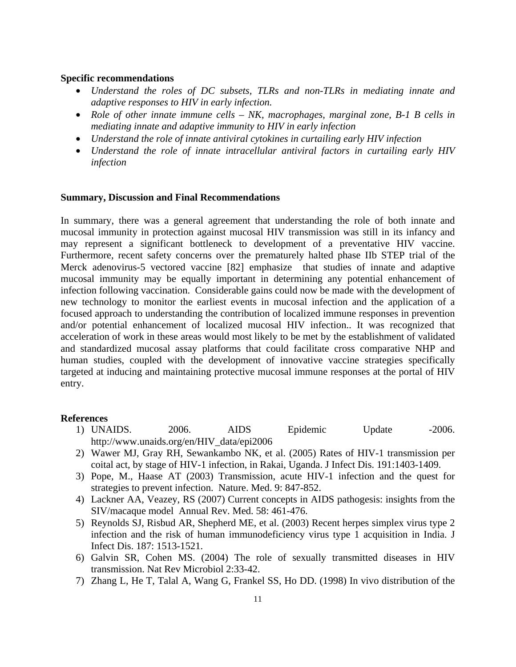#### **Specific recommendations**

- *Understand the roles of DC subsets, TLRs and non-TLRs in mediating innate and adaptive responses to HIV in early infection.*
- *Role of other innate immune cells NK, macrophages, marginal zone, B-1 B cells in mediating innate and adaptive immunity to HIV in early infection*
- *Understand the role of innate antiviral cytokines in curtailing early HIV infection*
- *Understand the role of innate intracellular antiviral factors in curtailing early HIV infection*

#### **Summary, Discussion and Final Recommendations**

In summary, there was a general agreement that understanding the role of both innate and mucosal immunity in protection against mucosal HIV transmission was still in its infancy and may represent a significant bottleneck to development of a preventative HIV vaccine. Furthermore, recent safety concerns over the prematurely halted phase IIb STEP trial of the Merck adenovirus-5 vectored vaccine [82] emphasize that studies of innate and adaptive mucosal immunity may be equally important in determining any potential enhancement of infection following vaccination. Considerable gains could now be made with the development of new technology to monitor the earliest events in mucosal infection and the application of a focused approach to understanding the contribution of localized immune responses in prevention and/or potential enhancement of localized mucosal HIV infection.. It was recognized that acceleration of work in these areas would most likely to be met by the establishment of validated and standardized mucosal assay platforms that could facilitate cross comparative NHP and human studies, coupled with the development of innovative vaccine strategies specifically targeted at inducing and maintaining protective mucosal immune responses at the portal of HIV entry.

#### **References**

- 1) UNAIDS. 2006. AIDS Epidemic Update -2006. http://www.unaids.org/en/HIV\_data/epi2006
- 2) Wawer MJ, Gray RH, Sewankambo NK, et al. (2005) Rates of HIV-1 transmission per coital act, by stage of HIV-1 infection, in Rakai, Uganda. J Infect Dis. 191:1403-1409.
- 3) Pope, M., Haase AT (2003) Transmission, acute HIV-1 infection and the quest for strategies to prevent infection. Nature. Med. 9: 847-852.
- 4) Lackner AA, Veazey, RS (2007) Current concepts in AIDS pathogesis: insights from the SIV/macaque model Annual Rev. Med. 58: 461-476.
- 5) Reynolds SJ, Risbud AR, Shepherd ME, et al. (2003) Recent herpes simplex virus type 2 infection and the risk of human immunodeficiency virus type 1 acquisition in India. J Infect Dis. 187: 1513-1521.
- 6) Galvin SR, Cohen MS. (2004) The role of sexually transmitted diseases in HIV transmission. Nat Rev Microbiol 2:33-42.
- 7) Zhang L, He T, Talal A, Wang G, Frankel SS, Ho DD. (1998) In vivo distribution of the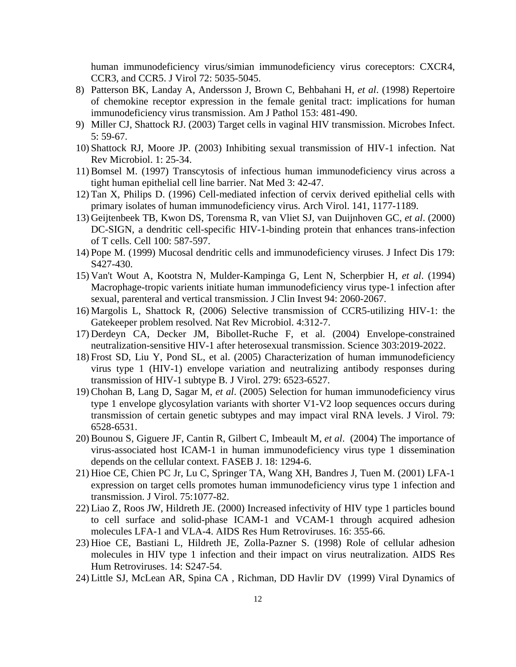human immunodeficiency virus/simian immunodeficiency virus coreceptors: CXCR4, CCR3, and CCR5. J Virol 72: 5035-5045.

- 8) Patterson BK, Landay A, Andersson J, Brown C, Behbahani H, *et al*. (1998) Repertoire of chemokine receptor expression in the female genital tract: implications for human immunodeficiency virus transmission. Am J Pathol 153: 481-490.
- 9) Miller CJ, Shattock RJ. (2003) Target cells in vaginal HIV transmission. Microbes Infect. 5: 59-67.
- 10) Shattock RJ, Moore JP. (2003) Inhibiting sexual transmission of HIV-1 infection. Nat Rev Microbiol. 1: 25-34.
- 11) Bomsel M. (1997) Transcytosis of infectious human immunodeficiency virus across a tight human epithelial cell line barrier. Nat Med 3: 42-47.
- 12) Tan X, Philips D. (1996) Cell-mediated infection of cervix derived epithelial cells with primary isolates of human immunodeficiency virus. Arch Virol. 141, 1177-1189.
- 13) Geijtenbeek TB, Kwon DS, Torensma R, van Vliet SJ, van Duijnhoven GC, *et al*. (2000) DC-SIGN, a dendritic cell-specific HIV-1-binding protein that enhances trans-infection of T cells. Cell 100: 587-597.
- 14) Pope M. (1999) Mucosal dendritic cells and immunodeficiency viruses. J Infect Dis 179: S427-430.
- 15) Van't Wout A, Kootstra N, Mulder-Kampinga G, Lent N, Scherpbier H, *et al*. (1994) Macrophage-tropic varients initiate human immunodeficiency virus type-1 infection after sexual, parenteral and vertical transmission. J Clin Invest 94: 2060-2067.
- 16) Margolis L, Shattock R, (2006) Selective transmission of CCR5-utilizing HIV-1: the Gatekeeper problem resolved. Nat Rev Microbiol. 4:312-7.
- 17) Derdeyn CA, Decker JM, Bibollet-Ruche F, et al. (2004) Envelope-constrained neutralization-sensitive HIV-1 after heterosexual transmission. Science 303:2019-2022.
- 18) Frost SD, Liu Y, Pond SL, et al. (2005) Characterization of human immunodeficiency virus type 1 (HIV-1) envelope variation and neutralizing antibody responses during transmission of HIV-1 subtype B. J Virol. 279: 6523-6527.
- 19) Chohan B, Lang D, Sagar M, *et al*. (2005) Selection for human immunodeficiency virus type 1 envelope glycosylation variants with shorter V1-V2 loop sequences occurs during transmission of certain genetic subtypes and may impact viral RNA levels. J Virol. 79: 6528-6531.
- 20) [Bounou S, Giguere JF, Cantin R, Gilbert C, Imbeault M,](http://www.ncbi.nlm.nih.gov/entrez/query.fcgi?cmd=Retrieve&db=pubmed&dopt=Abstract&list_uids=15208262&query_hl=6&itool=pubmed_DocSum) *et al*. (2004) The importance of virus-associated host ICAM-1 in human immunodeficiency virus type 1 dissemination depends on the cellular context. FASEB J. 18: 1294-6.
- 21) Hioe CE, Chien PC Jr, Lu C, Springer TA, Wang XH, Bandres J, Tuen M. (2001) LFA-1 expression on target cells promotes human immunodeficiency virus type 1 infection and transmission. J Virol. 75:1077-82.
- 22) [Liao Z, Roos JW, Hildreth JE.](http://www.ncbi.nlm.nih.gov/entrez/query.fcgi?cmd=Retrieve&db=pubmed&dopt=Abstract&list_uids=10716373&query_hl=6&itool=pubmed_DocSum) (2000) Increased infectivity of HIV type 1 particles bound to cell surface and solid-phase ICAM-1 and VCAM-1 through acquired adhesion molecules LFA-1 and VLA-4. AIDS Res Hum Retroviruses. 16: 355-66.
- 23) [Hioe CE, Bastiani L, Hildreth JE, Zolla-Pazner S.](http://www.ncbi.nlm.nih.gov/entrez/query.fcgi?cmd=Retrieve&db=pubmed&dopt=Abstract&list_uids=9814951&query_hl=6&itool=pubmed_DocSum) (1998) Role of cellular adhesion molecules in HIV type 1 infection and their impact on virus neutralization. AIDS Res Hum Retroviruses. 14: S247-54.
- 24) Little SJ, McLean AR, Spina CA , Richman, DD Havlir DV (1999) Viral Dynamics of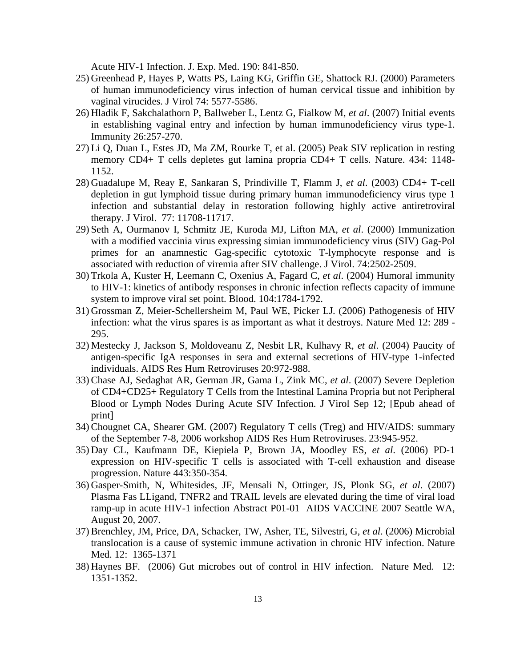Acute HIV-1 Infection. J. Exp. Med. 190: 841-850.

- 25) Greenhead P, Hayes P, Watts PS, Laing KG, Griffin GE, Shattock RJ. (2000) Parameters of human immunodeficiency virus infection of human cervical tissue and inhibition by vaginal virucides. J Virol 74: 5577-5586.
- 26) Hladik F, Sakchalathorn P, Ballweber L, Lentz G, Fialkow M, *et al*. (2007) Initial events in establishing vaginal entry and infection by human immunodeficiency virus type-1. Immunity 26:257-270.
- 27) Li Q, Duan L, Estes JD, Ma ZM, Rourke T, et al. (2005) Peak SIV replication in resting memory CD4+ T cells depletes gut lamina propria CD4+ T cells. Nature. 434: 1148- 1152.
- 28) Guadalupe M, Reay E, Sankaran S, Prindiville T, Flamm J, *et al*. (2003) CD4+ T-cell depletion in gut lymphoid tissue during primary human immunodeficiency virus type 1 infection and substantial delay in restoration following highly active antiretroviral therapy. J Virol. 77: 11708-11717.
- 29) Seth A, Ourmanov I, Schmitz JE, Kuroda MJ, Lifton MA, *et al*. (2000) Immunization with a modified vaccinia virus expressing simian immunodeficiency virus (SIV) Gag-Pol primes for an anamnestic Gag-specific cytotoxic T-lymphocyte response and is associated with reduction of viremia after SIV challenge. J Virol. 74:2502-2509.
- 30) Trkola A, Kuster H, Leemann C, Oxenius A, Fagard C, *et al*. (2004) Humoral immunity to HIV-1: kinetics of antibody responses in chronic infection reflects capacity of immune system to improve viral set point. Blood. 104:1784-1792.
- 31) Grossman Z, Meier-Schellersheim M, Paul WE, Picker LJ. (2006) Pathogenesis of HIV infection: what the virus spares is as important as what it destroys. Nature Med 12: 289 - 295.
- 32) Mestecky J, Jackson S, Moldoveanu Z, Nesbit LR, Kulhavy R, *et al*. (2004) Paucity of antigen-specific IgA responses in sera and external secretions of HIV-type 1-infected individuals. AIDS Res Hum Retroviruses 20:972-988.
- 33) Chase AJ, Sedaghat AR, German JR, Gama L, Zink MC, *et al*. (2007) Severe Depletion of CD4+CD25+ Regulatory T Cells from the Intestinal Lamina Propria but not Peripheral Blood or Lymph Nodes During Acute SIV Infection. J Virol Sep 12; [Epub ahead of print]
- 34) Chougnet CA, Shearer GM. (2007) Regulatory T cells (Treg) and HIV/AIDS: summary of the September 7-8, 2006 workshop AIDS Res Hum Retroviruses. 23:945-952.
- 35) Day CL, Kaufmann DE, Kiepiela P, Brown JA, Moodley ES, *et al*. (2006) PD-1 expression on HIV-specific T cells is associated with T-cell exhaustion and disease progression. Nature 443:350-354.
- 36) Gasper-Smith, N, Whitesides, JF, Mensali N, Ottinger, JS, Plonk SG, *et al*. (2007) Plasma Fas LLigand, TNFR2 and TRAIL levels are elevated during the time of viral load ramp-up in acute HIV-1 infection Abstract P01-01 AIDS VACCINE 2007 Seattle WA, August 20, 2007.
- 37) Brenchley, JM, Price, DA, Schacker, TW, Asher, TE, Silvestri, G, *et al*. (2006) Microbial translocation is a cause of systemic immune activation in chronic HIV infection. Nature Med. 12: 1365-1371
- 38) Haynes BF. (2006) Gut microbes out of control in HIV infection. Nature Med. 12: 1351-1352.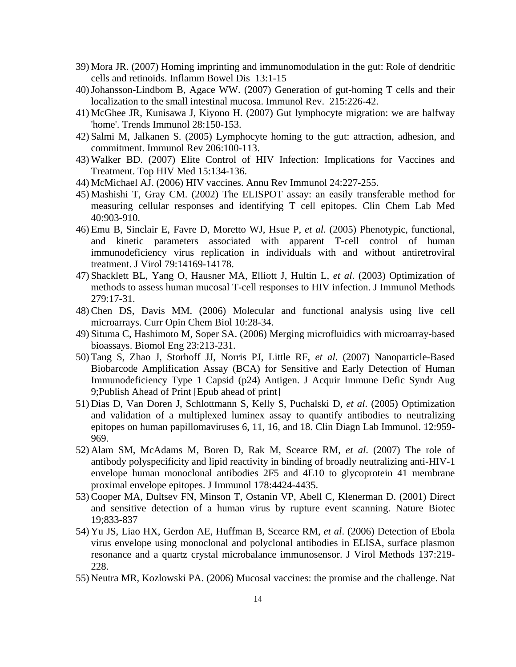- 39) Mora JR. (2007) Homing imprinting and immunomodulation in the gut: Role of dendritic cells and retinoids. Inflamm Bowel Dis 13:1-15
- 40)Johansson-Lindbom B, Agace WW. (2007) Generation of gut-homing T cells and their localization to the small intestinal mucosa. Immunol Rev. 215:226-42.
- 41) McGhee JR, Kunisawa J, Kiyono H. (2007) Gut lymphocyte migration: we are halfway 'home'. Trends Immunol 28:150-153.
- 42) Salmi M, Jalkanen S. (2005) Lymphocyte homing to the gut: attraction, adhesion, and commitment. Immunol Rev 206:100-113.
- 43) Walker BD. (2007) Elite Control of HIV Infection: Implications for Vaccines and Treatment. Top HIV Med 15:134-136.
- 44) McMichael AJ. (2006) HIV vaccines. Annu Rev Immunol 24:227-255.
- 45) Mashishi T, Gray CM. (2002) The ELISPOT assay: an easily transferable method for measuring cellular responses and identifying T cell epitopes. Clin Chem Lab Med 40:903-910.
- 46) Emu B, Sinclair E, Favre D, Moretto WJ, Hsue P, *et al*. (2005) Phenotypic, functional, and kinetic parameters associated with apparent T-cell control of human immunodeficiency virus replication in individuals with and without antiretroviral treatment. J Virol 79:14169-14178.
- 47) Shacklett BL, Yang O, Hausner MA, Elliott J, Hultin L, *et al*. (2003) Optimization of methods to assess human mucosal T-cell responses to HIV infection. J Immunol Methods 279:17-31.
- 48) Chen DS, Davis MM. (2006) Molecular and functional analysis using live cell microarrays. Curr Opin Chem Biol 10:28-34.
- 49) Situma C, Hashimoto M, Soper SA. (2006) Merging microfluidics with microarray-based bioassays. Biomol Eng 23:213-231.
- 50) Tang S, Zhao J, Storhoff JJ, Norris PJ, Little RF, *et al*. (2007) Nanoparticle-Based Biobarcode Amplification Assay (BCA) for Sensitive and Early Detection of Human Immunodeficiency Type 1 Capsid (p24) Antigen. J Acquir Immune Defic Syndr Aug 9;Publish Ahead of Print [Epub ahead of print]
- 51) Dias D, Van Doren J, Schlottmann S, Kelly S, Puchalski D, *et al*. (2005) Optimization and validation of a multiplexed luminex assay to quantify antibodies to neutralizing epitopes on human papillomaviruses 6, 11, 16, and 18. Clin Diagn Lab Immunol. 12:959- 969.
- 52) Alam SM, McAdams M, Boren D, Rak M, Scearce RM, *et al*. (2007) The role of antibody polyspecificity and lipid reactivity in binding of broadly neutralizing anti-HIV-1 envelope human monoclonal antibodies 2F5 and 4E10 to glycoprotein 41 membrane proximal envelope epitopes. J Immunol 178:4424-4435.
- 53) Cooper MA, Dultsev FN, Minson T, Ostanin VP, Abell C, Klenerman D. (2001) Direct and sensitive detection of a human virus by rupture event scanning. Nature Biotec 19;833-837
- 54) Yu JS, Liao HX, Gerdon AE, Huffman B, Scearce RM, *et al*. (2006) Detection of Ebola virus envelope using monoclonal and polyclonal antibodies in ELISA, surface plasmon resonance and a quartz crystal microbalance immunosensor. J Virol Methods 137:219- 228.
- 55) Neutra MR, Kozlowski PA. (2006) Mucosal vaccines: the promise and the challenge. Nat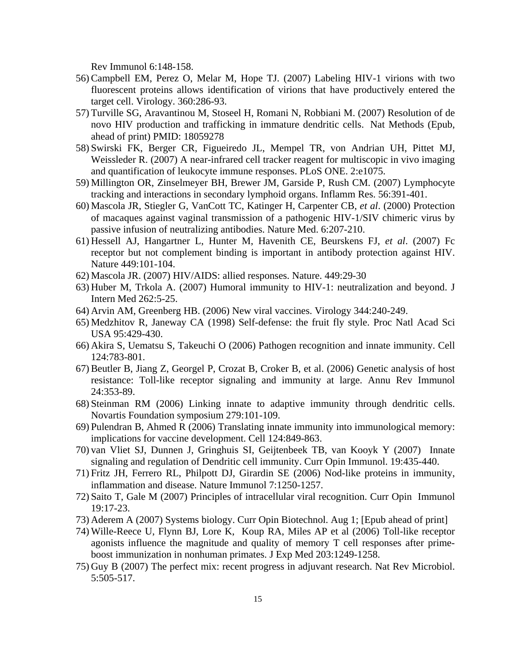Rev Immunol 6:148-158.

- 56) Campbell EM, Perez O, Melar M, Hope TJ. (2007) Labeling HIV-1 virions with two fluorescent proteins allows identification of virions that have productively entered the target cell. Virology. 360:286-93.
- 57) Turville SG, Aravantinou M, Stoseel H, Romani N, Robbiani M. (2007) Resolution of de novo HIV production and trafficking in immature dendritic cells. Nat Methods (Epub, ahead of print) PMID: 18059278
- 58) Swirski FK, Berger CR, Figueiredo JL, Mempel TR, von Andrian UH, Pittet MJ, Weissleder R. (2007) A near-infrared cell tracker reagent for multiscopic in vivo imaging and quantification of leukocyte immune responses. PLoS ONE. 2:e1075.
- 59) Millington OR, Zinselmeyer BH, Brewer JM, Garside P, Rush CM. (2007) Lymphocyte tracking and interactions in secondary lymphoid organs. Inflamm Res. 56:391-401.
- 60) Mascola JR, Stiegler G, VanCott TC, Katinger H, Carpenter CB, *et al*. (2000) Protection of macaques against vaginal transmission of a pathogenic HIV-1/SIV chimeric virus by passive infusion of neutralizing antibodies. Nature Med. 6:207-210.
- 61) Hessell AJ, Hangartner L, Hunter M, Havenith CE, Beurskens FJ, *et al*. (2007) Fc receptor but not complement binding is important in antibody protection against HIV. Nature 449:101-104.
- 62) Mascola JR. (2007) HIV/AIDS: allied responses. Nature. 449:29-30
- 63) Huber M, Trkola A. (2007) Humoral immunity to HIV-1: neutralization and beyond. J Intern Med 262:5-25.
- 64) Arvin AM, Greenberg HB. (2006) New viral vaccines. Virology 344:240-249.
- 65) Medzhitov R, Janeway CA (1998) Self-defense: the fruit fly style. Proc Natl Acad Sci USA 95:429-430.
- 66) Akira S, Uematsu S, Takeuchi O (2006) Pathogen recognition and innate immunity. Cell 124:783-801.
- 67) Beutler B, Jiang Z, Georgel P, Crozat B, Croker B, et al. (2006) Genetic analysis of host resistance: Toll-like receptor signaling and immunity at large. Annu Rev Immunol 24:353-89.
- 68) Steinman RM (2006) Linking innate to adaptive immunity through dendritic cells. Novartis Foundation symposium 279:101-109.
- 69) Pulendran B, Ahmed R (2006) Translating innate immunity into immunological memory: implications for vaccine development. Cell 124:849-863.
- 70) van Vliet SJ, Dunnen J, Gringhuis SI, Geijtenbeek TB, van Kooyk Y (2007) Innate signaling and regulation of Dendritic cell immunity. Curr Opin Immunol. 19:435-440.
- 71) Fritz JH, Ferrero RL, Philpott DJ, Girardin SE (2006) Nod-like proteins in immunity, inflammation and disease. Nature Immunol 7:1250-1257.
- 72) Saito T, Gale M (2007) Principles of intracellular viral recognition. Curr Opin Immunol 19:17-23.
- 73) Aderem A (2007) Systems biology. Curr Opin Biotechnol. Aug 1; [Epub ahead of print]
- 74) Wille-Reece U, Flynn BJ, Lore K, Koup RA, Miles AP et al (2006) Toll-like receptor agonists influence the magnitude and quality of memory T cell responses after primeboost immunization in nonhuman primates. J Exp Med 203:1249-1258.
- 75) Guy B (2007) The perfect mix: recent progress in adjuvant research. Nat Rev Microbiol. 5:505-517.